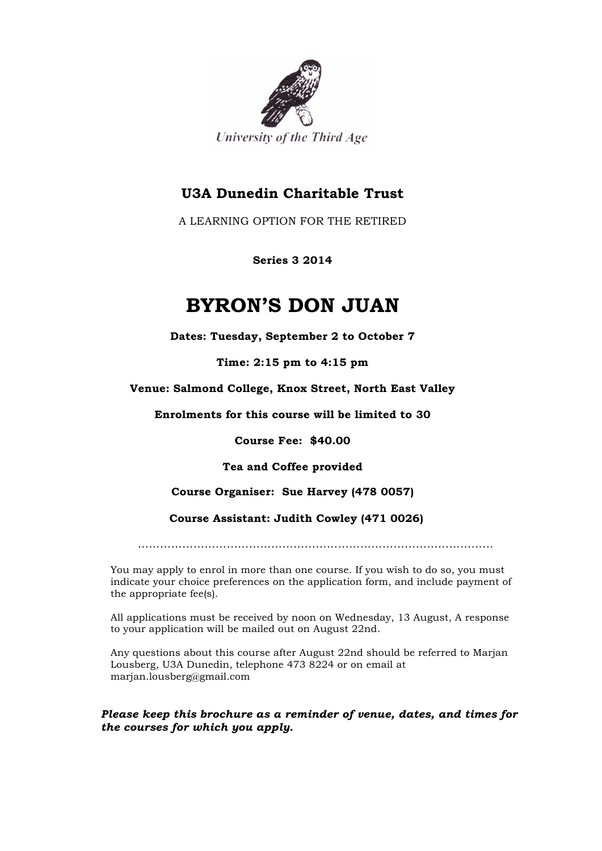

## **U3A Dunedin Charitable Trust**

A LEARNING OPTION FOR THE RETIRED

**Series 3 2014**

## **BYRON'S DON JUAN**

**Dates: Tuesday, September 2 to October 7**

**Time: 2:15 pm to 4:15 pm**

**Venue: Salmond College, Knox Street, North East Valley**

**Enrolments for this course will be limited to 30**

**Course Fee: \$40.00**

**Tea and Coffee provided**

**Course Organiser: Sue Harvey (478 0057)**

 **Course Assistant: Judith Cowley (471 0026)**

……………………………………………………………………………………

You may apply to enrol in more than one course. If you wish to do so, you must indicate your choice preferences on the application form, and include payment of the appropriate fee(s).

All applications must be received by noon on Wednesday, 13 August, A response to your application will be mailed out on August 22nd.

Any questions about this course after August 22nd should be referred to Marjan Lousberg, U3A Dunedin, telephone 473 8224 or on email at marjan.lousberg@gmail.com

*Please keep this brochure as a reminder of venue, dates, and times for the courses for which you apply.*